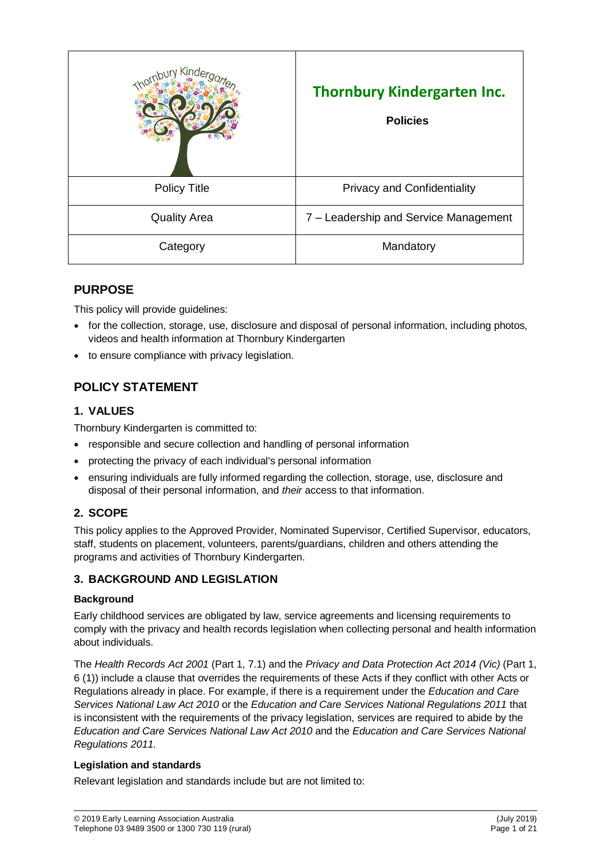|                     | <b>Thornbury Kindergarten Inc.</b><br><b>Policies</b> |
|---------------------|-------------------------------------------------------|
| <b>Policy Title</b> | <b>Privacy and Confidentiality</b>                    |
| <b>Quality Area</b> | 7 – Leadership and Service Management                 |
| Category            | Mandatory                                             |

# **PURPOSE**

This policy will provide guidelines:

- for the collection, storage, use, disclosure and disposal of personal information, including photos, videos and health information at Thornbury Kindergarten
- to ensure compliance with privacy legislation.

# **POLICY STATEMENT**

# **1. VALUES**

Thornbury Kindergarten is committed to:

- responsible and secure collection and handling of personal information
- protecting the privacy of each individual's personal information
- ensuring individuals are fully informed regarding the collection, storage, use, disclosure and disposal of their personal information, and *their* access to that information.

# **2. SCOPE**

This policy applies to the Approved Provider, Nominated Supervisor, Certified Supervisor, educators, staff, students on placement, volunteers, parents/guardians, children and others attending the programs and activities of Thornbury Kindergarten.

# **3. BACKGROUND AND LEGISLATION**

## **Background**

Early childhood services are obligated by law, service agreements and licensing requirements to comply with the privacy and health records legislation when collecting personal and health information about individuals.

The *Health Records Act 2001* (Part 1, 7.1) and the *Privacy and Data Protection Act 2014 (Vic)* (Part 1, 6 (1)) include a clause that overrides the requirements of these Acts if they conflict with other Acts or Regulations already in place. For example, if there is a requirement under the *Education and Care Services National Law Act 2010* or the *Education and Care Services National Regulations 2011* that is inconsistent with the requirements of the privacy legislation, services are required to abide by the *Education and Care Services National Law Act 2010* and the *Education and Care Services National Regulations 2011.*

# **Legislation and standards**

Relevant legislation and standards include but are not limited to: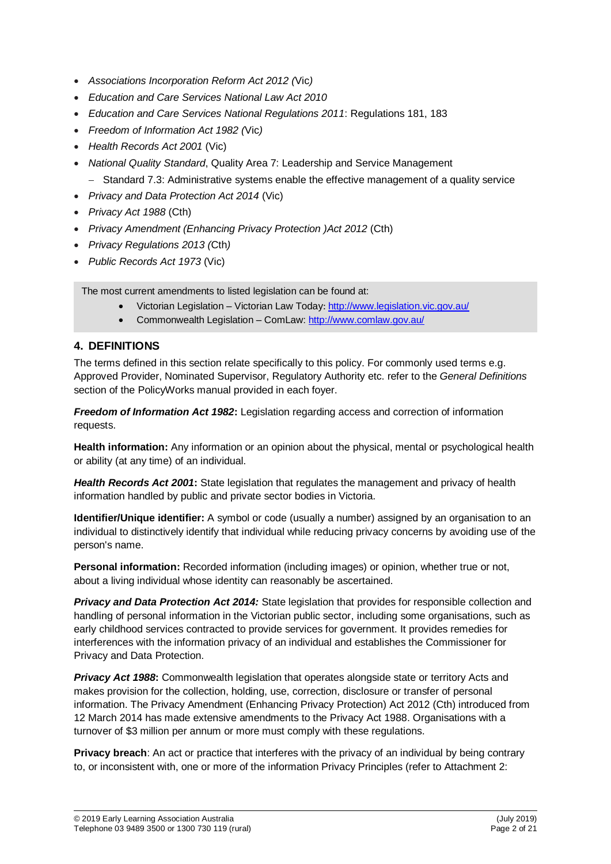- *Associations Incorporation Reform Act 2012 (*Vic*)*
- *Education and Care Services National Law Act 2010*
- *Education and Care Services National Regulations 2011*: Regulations 181, 183
- *Freedom of Information Act 1982 (*Vic*)*
- *Health Records Act 2001* (Vic)
- *National Quality Standard*, Quality Area 7: Leadership and Service Management
	- Standard 7.3: Administrative systems enable the effective management of a quality service
- *Privacy and Data Protection Act 2014* (Vic)
- *Privacy Act 1988* (Cth)
- *Privacy Amendment (Enhancing Privacy Protection )Act 2012* (Cth)
- *Privacy Regulations 2013 (*Cth*)*
- *Public Records Act 1973* (Vic)

The most current amendments to listed legislation can be found at:

- Victorian Legislation Victorian Law Today: <http://www.legislation.vic.gov.au/>
- Commonwealth Legislation ComLaw[: http://www.comlaw.gov.au/](http://www.comlaw.gov.au/)

## **4. DEFINITIONS**

The terms defined in this section relate specifically to this policy. For commonly used terms e.g. Approved Provider, Nominated Supervisor, Regulatory Authority etc. refer to the *General Definitions* section of the PolicyWorks manual provided in each foyer.

*Freedom of Information Act 1982***:** Legislation regarding access and correction of information requests.

**Health information:** Any information or an opinion about the physical, mental or psychological health or ability (at any time) of an individual.

*Health Records Act 2001***:** State legislation that regulates the management and privacy of health information handled by public and private sector bodies in Victoria.

**Identifier/Unique identifier:** A symbol or code (usually a number) assigned by an organisation to an individual to distinctively identify that individual while reducing privacy concerns by avoiding use of the person's name.

**Personal information:** Recorded information (including images) or opinion, whether true or not, about a living individual whose identity can reasonably be ascertained.

*Privacy and Data Protection Act 2014:* State legislation that provides for responsible collection and handling of personal information in the Victorian public sector, including some organisations, such as early childhood services contracted to provide services for government. It provides remedies for interferences with the information privacy of an individual and establishes the Commissioner for Privacy and Data Protection.

**Privacy Act 1988:** Commonwealth legislation that operates alongside state or territory Acts and makes provision for the collection, holding, use, correction, disclosure or transfer of personal information. The Privacy Amendment (Enhancing Privacy Protection) Act 2012 (Cth) introduced from 12 March 2014 has made extensive amendments to the Privacy Act 1988. Organisations with a turnover of \$3 million per annum or more must comply with these regulations.

**Privacy breach**: An act or practice that interferes with the privacy of an individual by being contrary to, or inconsistent with, one or more of the information Privacy Principles (refer to Attachment 2: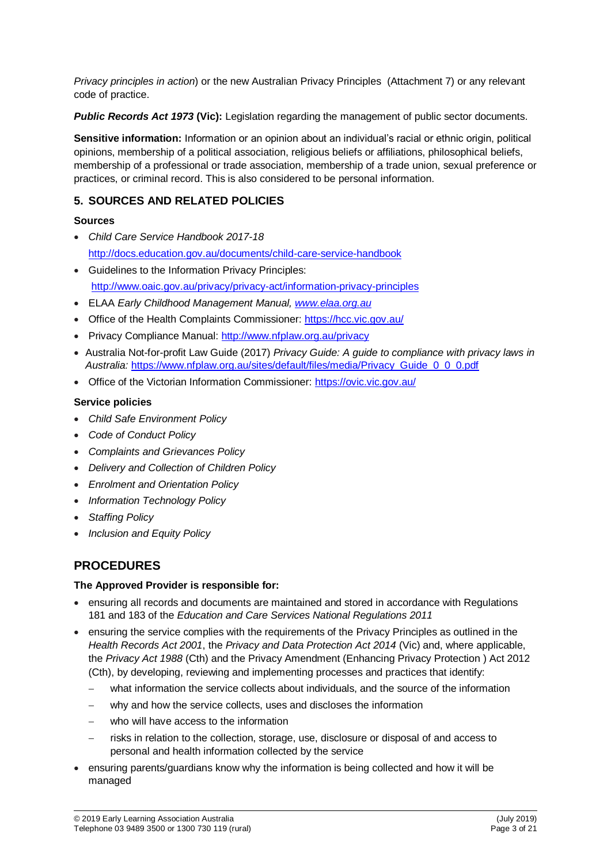*Privacy principles in action*) or the new Australian Privacy Principles (Attachment 7) or any relevant code of practice.

*Public Records Act 1973* **(Vic):** Legislation regarding the management of public sector documents.

**Sensitive information:** Information or an opinion about an individual's racial or ethnic origin, political opinions, membership of a political association, religious beliefs or affiliations, philosophical beliefs, membership of a professional or trade association, membership of a trade union, sexual preference or practices, or criminal record. This is also considered to be personal information.

# **5. SOURCES AND RELATED POLICIES**

## **Sources**

- *Child Care Service Handbook 2017-18* <http://docs.education.gov.au/documents/child-care-service-handbook>
- Guidelines to the Information Privacy Principles: <http://www.oaic.gov.au/privacy/privacy-act/information-privacy-principles>
- ELAA *Early Childhood Management Manual, [www.elaa.org.au](http://www.elaa.org.au/)*
- Office of the Health Complaints Commissioner:<https://hcc.vic.gov.au/>
- Privacy Compliance Manual:<http://www.nfplaw.org.au/privacy>
- Australia Not-for-profit Law Guide (2017) *Privacy Guide: A guide to compliance with privacy laws in Australia:* [https://www.nfplaw.org.au/sites/default/files/media/Privacy\\_Guide\\_0\\_0\\_0.pdf](https://www.nfplaw.org.au/sites/default/files/media/Privacy_Guide_0_0_0.pdf)
- Office of the Victorian Information Commissioner:<https://ovic.vic.gov.au/>

# **Service policies**

- *Child Safe Environment Policy*
- *Code of Conduct Policy*
- *Complaints and Grievances Policy*
- *Delivery and Collection of Children Policy*
- *Enrolment and Orientation Policy*
- *Information Technology Policy*
- *Staffing Policy*
- *Inclusion and Equity Policy*

# **PROCEDURES**

## **The Approved Provider is responsible for:**

- ensuring all records and documents are maintained and stored in accordance with Regulations 181 and 183 of the *Education and Care Services National Regulations 2011*
- ensuring the service complies with the requirements of the Privacy Principles as outlined in the *Health Records Act 2001*, the *Privacy and Data Protection Act 2014* (Vic) and, where applicable, the *Privacy Act 1988* (Cth) and the Privacy Amendment (Enhancing Privacy Protection ) Act 2012 (Cth), by developing, reviewing and implementing processes and practices that identify:
	- what information the service collects about individuals, and the source of the information
	- why and how the service collects, uses and discloses the information
	- who will have access to the information
	- risks in relation to the collection, storage, use, disclosure or disposal of and access to personal and health information collected by the service
- ensuring parents/guardians know why the information is being collected and how it will be managed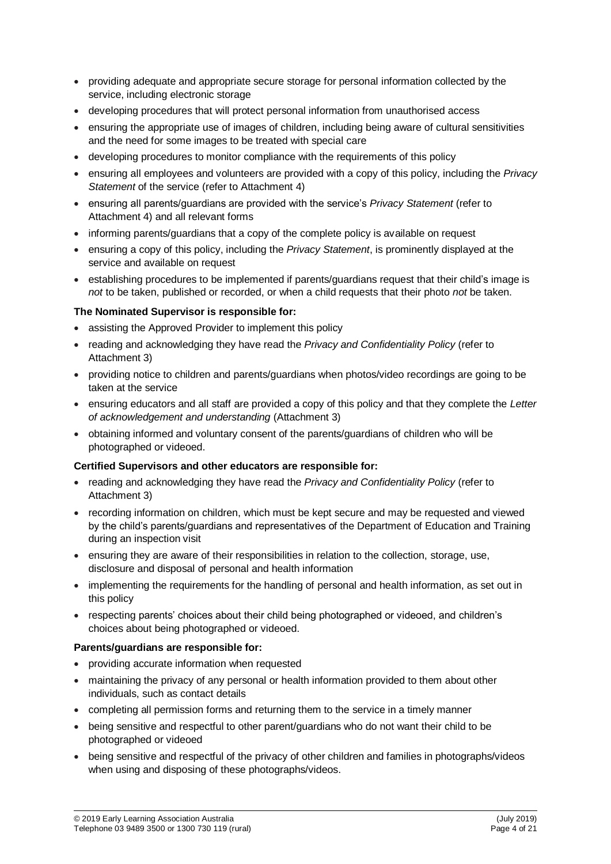- providing adequate and appropriate secure storage for personal information collected by the service, including electronic storage
- developing procedures that will protect personal information from unauthorised access
- ensuring the appropriate use of images of children, including being aware of cultural sensitivities and the need for some images to be treated with special care
- developing procedures to monitor compliance with the requirements of this policy
- ensuring all employees and volunteers are provided with a copy of this policy, including the *Privacy Statement* of the service (refer to Attachment 4)
- ensuring all parents/guardians are provided with the service's *Privacy Statement* (refer to Attachment 4) and all relevant forms
- informing parents/guardians that a copy of the complete policy is available on request
- ensuring a copy of this policy, including the *Privacy Statement*, is prominently displayed at the service and available on request
- establishing procedures to be implemented if parents/guardians request that their child's image is *not* to be taken, published or recorded, or when a child requests that their photo *not* be taken.

## **The Nominated Supervisor is responsible for:**

- assisting the Approved Provider to implement this policy
- reading and acknowledging they have read the *Privacy and Confidentiality Policy* (refer to Attachment 3)
- providing notice to children and parents/guardians when photos/video recordings are going to be taken at the service
- ensuring educators and all staff are provided a copy of this policy and that they complete the *Letter of acknowledgement and understanding* (Attachment 3)
- obtaining informed and voluntary consent of the parents/guardians of children who will be photographed or videoed.

#### **Certified Supervisors and other educators are responsible for:**

- reading and acknowledging they have read the *Privacy and Confidentiality Policy* (refer to Attachment 3)
- recording information on children, which must be kept secure and may be requested and viewed by the child's parents/guardians and representatives of the Department of Education and Training during an inspection visit
- ensuring they are aware of their responsibilities in relation to the collection, storage, use, disclosure and disposal of personal and health information
- implementing the requirements for the handling of personal and health information, as set out in this policy
- respecting parents' choices about their child being photographed or videoed, and children's choices about being photographed or videoed.

#### **Parents/guardians are responsible for:**

- providing accurate information when requested
- maintaining the privacy of any personal or health information provided to them about other individuals, such as contact details
- completing all permission forms and returning them to the service in a timely manner
- being sensitive and respectful to other parent/guardians who do not want their child to be photographed or videoed
- being sensitive and respectful of the privacy of other children and families in photographs/videos when using and disposing of these photographs/videos.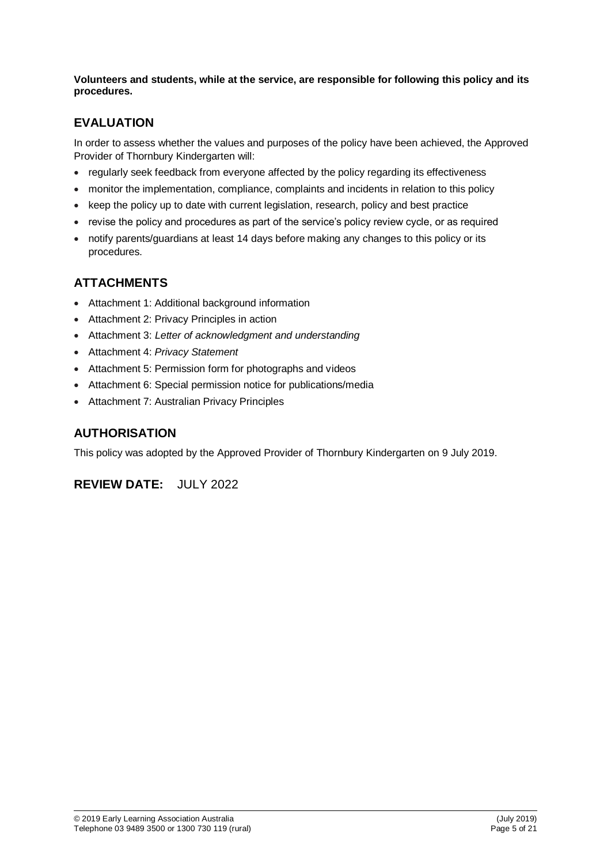**Volunteers and students, while at the service, are responsible for following this policy and its procedures.**

# **EVALUATION**

In order to assess whether the values and purposes of the policy have been achieved, the Approved Provider of Thornbury Kindergarten will:

- regularly seek feedback from everyone affected by the policy regarding its effectiveness
- monitor the implementation, compliance, complaints and incidents in relation to this policy
- keep the policy up to date with current legislation, research, policy and best practice
- revise the policy and procedures as part of the service's policy review cycle, or as required
- notify parents/guardians at least 14 days before making any changes to this policy or its procedures.

# **ATTACHMENTS**

- Attachment 1: Additional background information
- Attachment 2: Privacy Principles in action
- Attachment 3: *Letter of acknowledgment and understanding*
- Attachment 4: *Privacy Statement*
- Attachment 5: Permission form for photographs and videos
- Attachment 6: Special permission notice for publications/media
- Attachment 7: Australian Privacy Principles

# **AUTHORISATION**

This policy was adopted by the Approved Provider of Thornbury Kindergarten on 9 July 2019.

**REVIEW DATE:** JULY 2022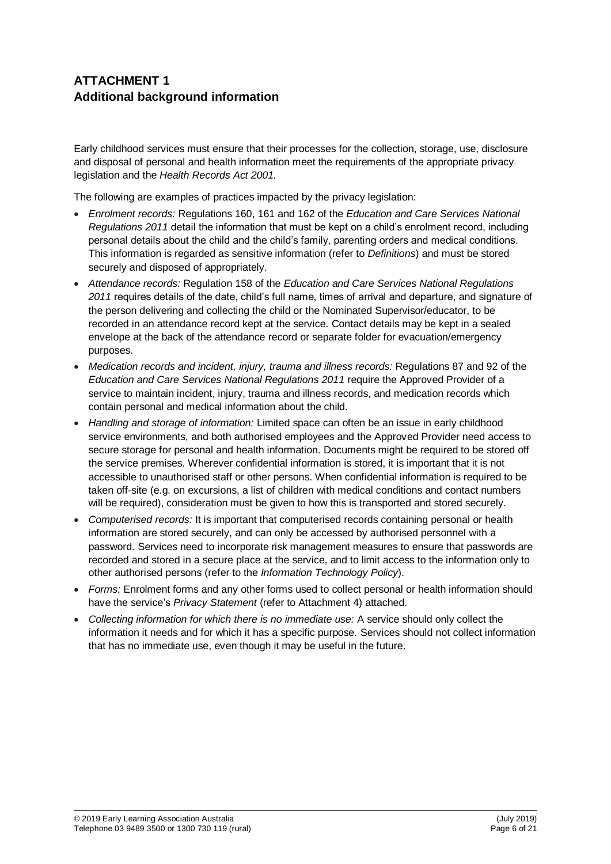# **ATTACHMENT 1 Additional background information**

Early childhood services must ensure that their processes for the collection, storage, use, disclosure and disposal of personal and health information meet the requirements of the appropriate privacy legislation and the *Health Records Act 2001.*

The following are examples of practices impacted by the privacy legislation:

- *Enrolment records:* Regulations 160, 161 and 162 of the *Education and Care Services National Regulations 2011* detail the information that must be kept on a child's enrolment record, including personal details about the child and the child's family, parenting orders and medical conditions. This information is regarded as sensitive information (refer to *Definitions*) and must be stored securely and disposed of appropriately.
- *Attendance records:* Regulation 158 of the *Education and Care Services National Regulations 2011* requires details of the date, child's full name, times of arrival and departure, and signature of the person delivering and collecting the child or the Nominated Supervisor/educator, to be recorded in an attendance record kept at the service. Contact details may be kept in a sealed envelope at the back of the attendance record or separate folder for evacuation/emergency purposes.
- *Medication records and incident, injury, trauma and illness records:* Regulations 87 and 92 of the *Education and Care Services National Regulations 2011* require the Approved Provider of a service to maintain incident, injury, trauma and illness records, and medication records which contain personal and medical information about the child.
- *Handling and storage of information:* Limited space can often be an issue in early childhood service environments, and both authorised employees and the Approved Provider need access to secure storage for personal and health information. Documents might be required to be stored off the service premises. Wherever confidential information is stored, it is important that it is not accessible to unauthorised staff or other persons. When confidential information is required to be taken off-site (e.g. on excursions, a list of children with medical conditions and contact numbers will be required), consideration must be given to how this is transported and stored securely.
- *Computerised records:* It is important that computerised records containing personal or health information are stored securely, and can only be accessed by authorised personnel with a password. Services need to incorporate risk management measures to ensure that passwords are recorded and stored in a secure place at the service, and to limit access to the information only to other authorised persons (refer to the *Information Technology Policy*).
- *Forms:* Enrolment forms and any other forms used to collect personal or health information should have the service's *Privacy Statement* (refer to Attachment 4) attached.
- *Collecting information for which there is no immediate use:* A service should only collect the information it needs and for which it has a specific purpose. Services should not collect information that has no immediate use, even though it may be useful in the future.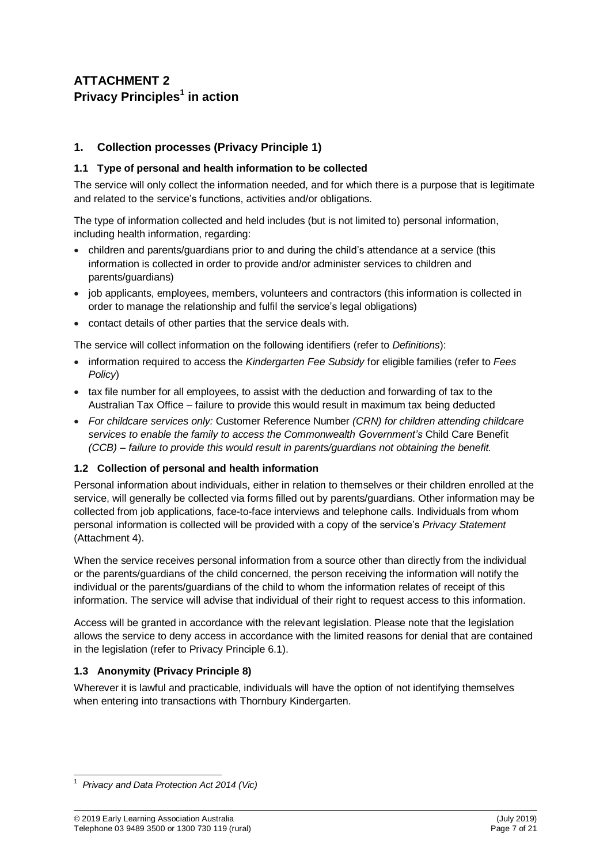# **ATTACHMENT 2 Privacy Principles<sup>1</sup> in action**

# **1. Collection processes (Privacy Principle 1)**

## **1.1 Type of personal and health information to be collected**

The service will only collect the information needed, and for which there is a purpose that is legitimate and related to the service's functions, activities and/or obligations.

The type of information collected and held includes (but is not limited to) personal information, including health information, regarding:

- children and parents/guardians prior to and during the child's attendance at a service (this information is collected in order to provide and/or administer services to children and parents/guardians)
- job applicants, employees, members, volunteers and contractors (this information is collected in order to manage the relationship and fulfil the service's legal obligations)
- contact details of other parties that the service deals with.

The service will collect information on the following identifiers (refer to *Definitions*):

- information required to access the *Kindergarten Fee Subsidy* for eligible families (refer to *Fees Policy*)
- tax file number for all employees, to assist with the deduction and forwarding of tax to the Australian Tax Office – failure to provide this would result in maximum tax being deducted
- *For childcare services only:* Customer Reference Number *(CRN) for children attending childcare services to enable the family to access the Commonwealth Government's* Child Care Benefit *(CCB) – failure to provide this would result in parents/guardians not obtaining the benefit.*

## **1.2 Collection of personal and health information**

Personal information about individuals, either in relation to themselves or their children enrolled at the service, will generally be collected via forms filled out by parents/guardians. Other information may be collected from job applications, face-to-face interviews and telephone calls. Individuals from whom personal information is collected will be provided with a copy of the service's *Privacy Statement* (Attachment 4).

When the service receives personal information from a source other than directly from the individual or the parents/guardians of the child concerned, the person receiving the information will notify the individual or the parents/guardians of the child to whom the information relates of receipt of this information. The service will advise that individual of their right to request access to this information.

Access will be granted in accordance with the relevant legislation. Please note that the legislation allows the service to deny access in accordance with the limited reasons for denial that are contained in the legislation (refer to Privacy Principle 6.1).

## **1.3 Anonymity (Privacy Principle 8)**

Wherever it is lawful and practicable, individuals will have the option of not identifying themselves when entering into transactions with Thornbury Kindergarten.

<sup>-</sup><sup>1</sup> *Privacy and Data Protection Act 2014 (Vic)*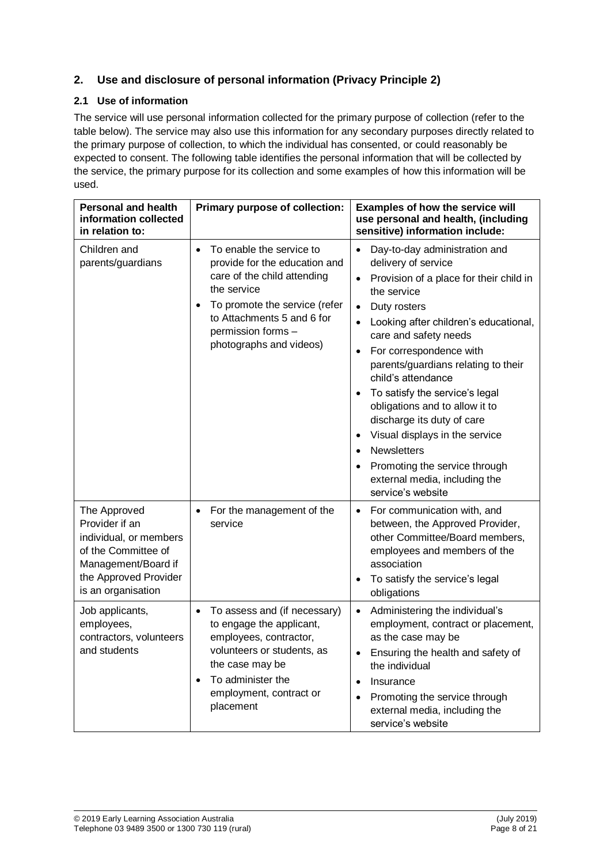# **2. Use and disclosure of personal information (Privacy Principle 2)**

# **2.1 Use of information**

The service will use personal information collected for the primary purpose of collection (refer to the table below). The service may also use this information for any secondary purposes directly related to the primary purpose of collection, to which the individual has consented, or could reasonably be expected to consent. The following table identifies the personal information that will be collected by the service, the primary purpose for its collection and some examples of how this information will be used.

| <b>Personal and health</b><br>information collected<br>in relation to:                                                                                | Primary purpose of collection:                                                                                                                                                                                                       | <b>Examples of how the service will</b><br>use personal and health, (including<br>sensitive) information include:                                                                                                                                                                                                                                                                                                                                                                                                                                                                                                                                              |
|-------------------------------------------------------------------------------------------------------------------------------------------------------|--------------------------------------------------------------------------------------------------------------------------------------------------------------------------------------------------------------------------------------|----------------------------------------------------------------------------------------------------------------------------------------------------------------------------------------------------------------------------------------------------------------------------------------------------------------------------------------------------------------------------------------------------------------------------------------------------------------------------------------------------------------------------------------------------------------------------------------------------------------------------------------------------------------|
| Children and<br>parents/guardians                                                                                                                     | To enable the service to<br>$\bullet$<br>provide for the education and<br>care of the child attending<br>the service<br>To promote the service (refer<br>to Attachments 5 and 6 for<br>permission forms -<br>photographs and videos) | Day-to-day administration and<br>$\bullet$<br>delivery of service<br>Provision of a place for their child in<br>$\bullet$<br>the service<br>Duty rosters<br>$\bullet$<br>Looking after children's educational,<br>$\bullet$<br>care and safety needs<br>For correspondence with<br>$\bullet$<br>parents/guardians relating to their<br>child's attendance<br>To satisfy the service's legal<br>$\bullet$<br>obligations and to allow it to<br>discharge its duty of care<br>Visual displays in the service<br>$\bullet$<br><b>Newsletters</b><br>$\bullet$<br>Promoting the service through<br>$\bullet$<br>external media, including the<br>service's website |
| The Approved<br>Provider if an<br>individual, or members<br>of the Committee of<br>Management/Board if<br>the Approved Provider<br>is an organisation | For the management of the<br>service                                                                                                                                                                                                 | For communication with, and<br>$\bullet$<br>between, the Approved Provider,<br>other Committee/Board members,<br>employees and members of the<br>association<br>To satisfy the service's legal<br>obligations                                                                                                                                                                                                                                                                                                                                                                                                                                                  |
| Job applicants,<br>employees,<br>contractors, volunteers<br>and students                                                                              | To assess and (if necessary)<br>to engage the applicant,<br>employees, contractor,<br>volunteers or students, as<br>the case may be<br>To administer the<br>$\bullet$<br>employment, contract or<br>placement                        | Administering the individual's<br>employment, contract or placement,<br>as the case may be<br>Ensuring the health and safety of<br>$\bullet$<br>the individual<br>Insurance<br>$\bullet$<br>Promoting the service through<br>$\bullet$<br>external media, including the<br>service's website                                                                                                                                                                                                                                                                                                                                                                   |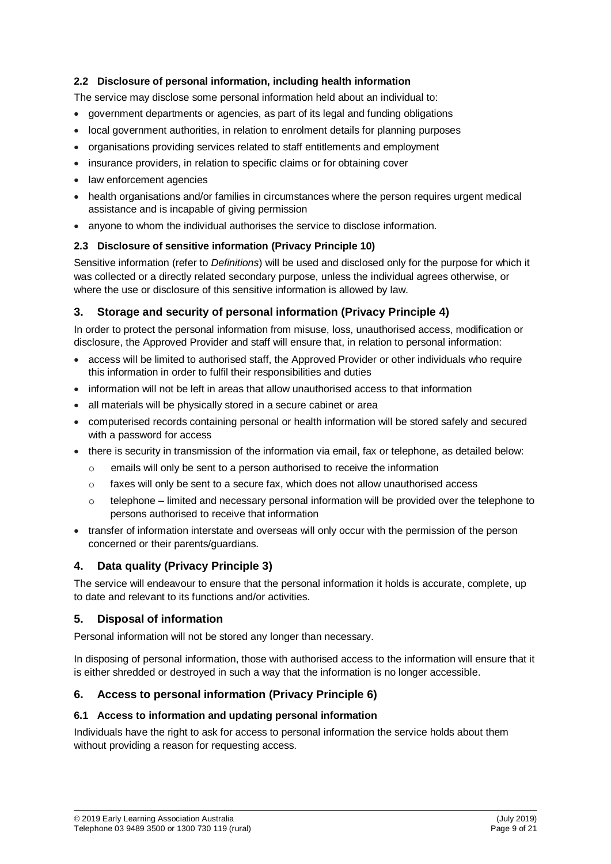# **2.2 Disclosure of personal information, including health information**

The service may disclose some personal information held about an individual to:

- government departments or agencies, as part of its legal and funding obligations
- local government authorities, in relation to enrolment details for planning purposes
- organisations providing services related to staff entitlements and employment
- insurance providers, in relation to specific claims or for obtaining cover
- law enforcement agencies
- health organisations and/or families in circumstances where the person requires urgent medical assistance and is incapable of giving permission
- anyone to whom the individual authorises the service to disclose information.

# **2.3 Disclosure of sensitive information (Privacy Principle 10)**

Sensitive information (refer to *Definitions*) will be used and disclosed only for the purpose for which it was collected or a directly related secondary purpose, unless the individual agrees otherwise, or where the use or disclosure of this sensitive information is allowed by law.

# **3. Storage and security of personal information (Privacy Principle 4)**

In order to protect the personal information from misuse, loss, unauthorised access, modification or disclosure, the Approved Provider and staff will ensure that, in relation to personal information:

- access will be limited to authorised staff, the Approved Provider or other individuals who require this information in order to fulfil their responsibilities and duties
- information will not be left in areas that allow unauthorised access to that information
- all materials will be physically stored in a secure cabinet or area
- computerised records containing personal or health information will be stored safely and secured with a password for access
- there is security in transmission of the information via email, fax or telephone, as detailed below:
	- $\circ$  emails will only be sent to a person authorised to receive the information
	- $\circ$  faxes will only be sent to a secure fax, which does not allow unauthorised access
	- $\circ$  telephone limited and necessary personal information will be provided over the telephone to persons authorised to receive that information
- transfer of information interstate and overseas will only occur with the permission of the person concerned or their parents/guardians.

# **4. Data quality (Privacy Principle 3)**

The service will endeavour to ensure that the personal information it holds is accurate, complete, up to date and relevant to its functions and/or activities.

# **5. Disposal of information**

Personal information will not be stored any longer than necessary.

In disposing of personal information, those with authorised access to the information will ensure that it is either shredded or destroyed in such a way that the information is no longer accessible.

# **6. Access to personal information (Privacy Principle 6)**

## **6.1 Access to information and updating personal information**

Individuals have the right to ask for access to personal information the service holds about them without providing a reason for requesting access.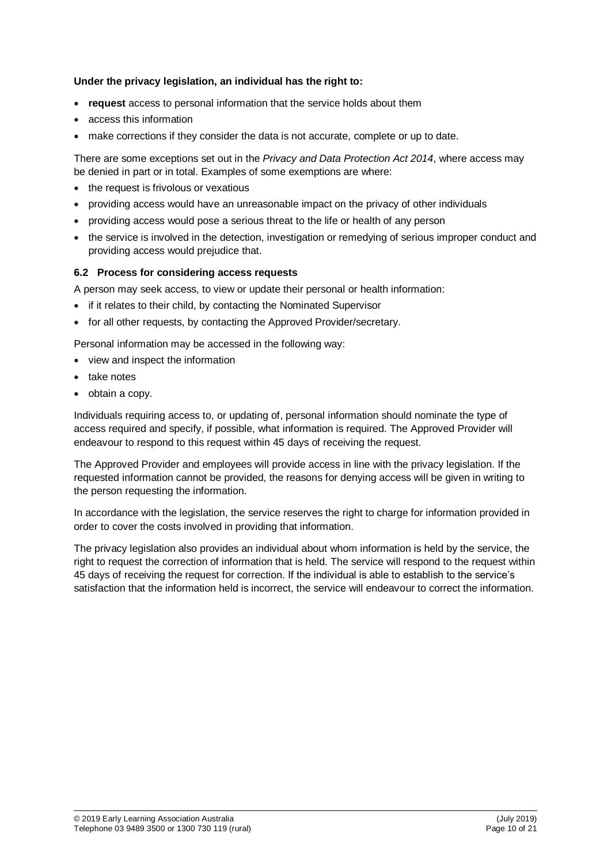#### **Under the privacy legislation, an individual has the right to:**

- **request** access to personal information that the service holds about them
- access this information
- make corrections if they consider the data is not accurate, complete or up to date.

There are some exceptions set out in the *Privacy and Data Protection Act 2014*, where access may be denied in part or in total. Examples of some exemptions are where:

- the request is frivolous or vexatious
- providing access would have an unreasonable impact on the privacy of other individuals
- providing access would pose a serious threat to the life or health of any person
- the service is involved in the detection, investigation or remedying of serious improper conduct and providing access would prejudice that.

#### **6.2 Process for considering access requests**

A person may seek access, to view or update their personal or health information:

- if it relates to their child, by contacting the Nominated Supervisor
- for all other requests, by contacting the Approved Provider/secretary.

Personal information may be accessed in the following way:

- view and inspect the information
- take notes
- obtain a copy.

Individuals requiring access to, or updating of, personal information should nominate the type of access required and specify, if possible, what information is required. The Approved Provider will endeavour to respond to this request within 45 days of receiving the request.

The Approved Provider and employees will provide access in line with the privacy legislation. If the requested information cannot be provided, the reasons for denying access will be given in writing to the person requesting the information.

In accordance with the legislation, the service reserves the right to charge for information provided in order to cover the costs involved in providing that information.

The privacy legislation also provides an individual about whom information is held by the service, the right to request the correction of information that is held. The service will respond to the request within 45 days of receiving the request for correction. If the individual is able to establish to the service's satisfaction that the information held is incorrect, the service will endeavour to correct the information.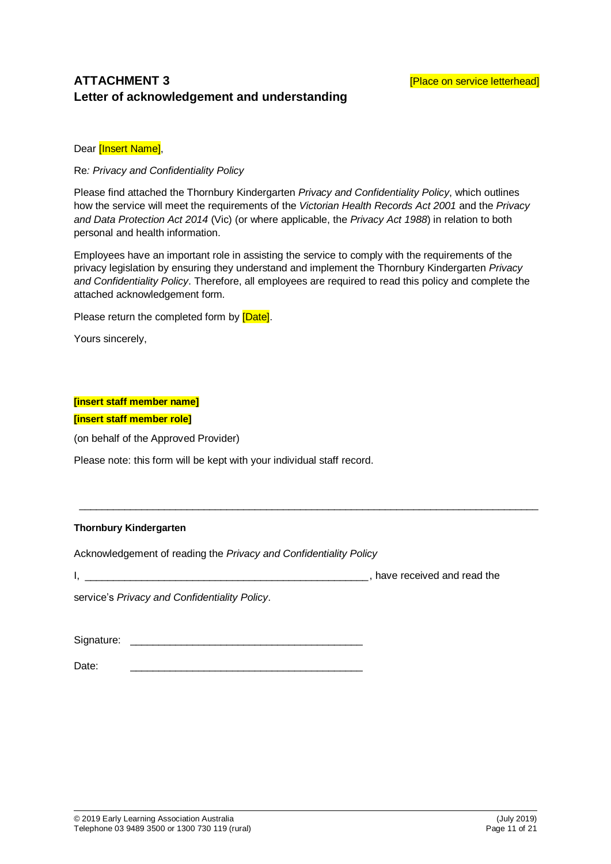# **ATTACHMENT 3 ATTACHMENT 3 Example 2 EXECUTE: EXECUTE: Place on service letterhead Letter of acknowledgement and understanding**

Dear [Insert Name],

Re*: Privacy and Confidentiality Policy*

Please find attached the Thornbury Kindergarten *Privacy and Confidentiality Policy*, which outlines how the service will meet the requirements of the *Victorian Health Records Act 2001* and the *Privacy and Data Protection Act 2014* (Vic) (or where applicable, the *Privacy Act 1988*) in relation to both personal and health information.

Employees have an important role in assisting the service to comply with the requirements of the privacy legislation by ensuring they understand and implement the Thornbury Kindergarten *Privacy and Confidentiality Policy*. Therefore, all employees are required to read this policy and complete the attached acknowledgement form*.* 

 $\_$  , and the set of the set of the set of the set of the set of the set of the set of the set of the set of the set of the set of the set of the set of the set of the set of the set of the set of the set of the set of th

Please return the completed form by [Date].

Yours sincerely,

#### **[insert staff member name]**

**[insert staff member role]**

(on behalf of the Approved Provider)

Please note: this form will be kept with your individual staff record.

#### **Thornbury Kindergarten**

Acknowledgement of reading the *Privacy and Confidentiality Policy*

I, the contract of the contract of the contract of the contract of the contract of the contract of the contract of the contract of the contract of the contract of the contract of the contract of the contract of the contrac

service's *Privacy and Confidentiality Policy*.

Signature: \_\_\_\_\_\_\_\_\_\_\_\_\_\_\_\_\_\_\_\_\_\_\_\_\_\_\_\_\_\_\_\_\_\_\_\_\_\_\_\_\_

Date: \_\_\_\_\_\_\_\_\_\_\_\_\_\_\_\_\_\_\_\_\_\_\_\_\_\_\_\_\_\_\_\_\_\_\_\_\_\_\_\_\_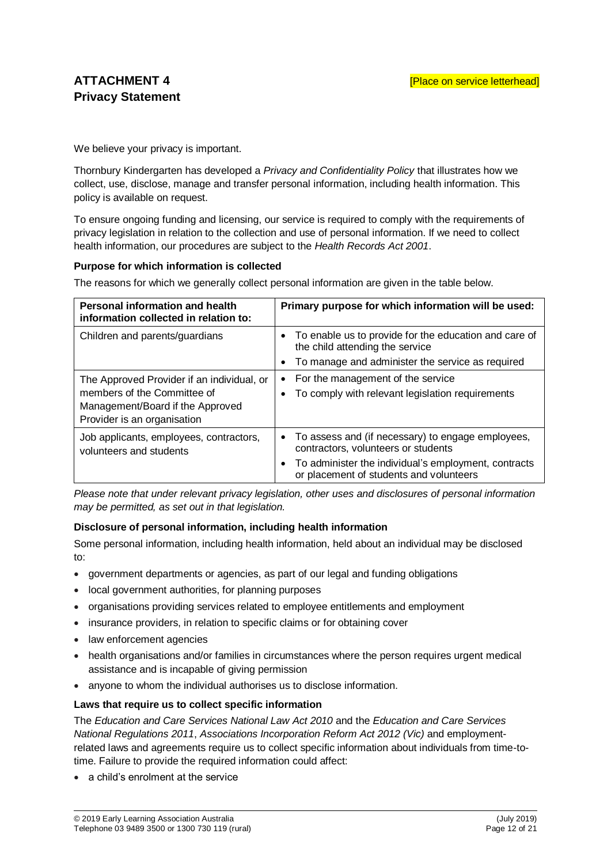We believe your privacy is important.

Thornbury Kindergarten has developed a *Privacy and Confidentiality Policy* that illustrates how we collect, use, disclose, manage and transfer personal information, including health information. This policy is available on request.

To ensure ongoing funding and licensing, our service is required to comply with the requirements of privacy legislation in relation to the collection and use of personal information. If we need to collect health information, our procedures are subject to the *Health Records Act 2001*.

#### **Purpose for which information is collected**

The reasons for which we generally collect personal information are given in the table below.

| <b>Personal information and health</b><br>information collected in relation to:                                                              | Primary purpose for which information will be used:                                                                                                                                                        |
|----------------------------------------------------------------------------------------------------------------------------------------------|------------------------------------------------------------------------------------------------------------------------------------------------------------------------------------------------------------|
| Children and parents/guardians                                                                                                               | • To enable us to provide for the education and care of<br>the child attending the service<br>To manage and administer the service as required                                                             |
| The Approved Provider if an individual, or<br>members of the Committee of<br>Management/Board if the Approved<br>Provider is an organisation | For the management of the service<br>$\bullet$<br>To comply with relevant legislation requirements<br>٠                                                                                                    |
| Job applicants, employees, contractors,<br>volunteers and students                                                                           | • To assess and (if necessary) to engage employees,<br>contractors, volunteers or students<br>To administer the individual's employment, contracts<br>$\bullet$<br>or placement of students and volunteers |

*Please note that under relevant privacy legislation, other uses and disclosures of personal information may be permitted, as set out in that legislation.*

#### **Disclosure of personal information, including health information**

Some personal information, including health information, held about an individual may be disclosed to:

- government departments or agencies, as part of our legal and funding obligations
- local government authorities, for planning purposes
- organisations providing services related to employee entitlements and employment
- insurance providers, in relation to specific claims or for obtaining cover
- law enforcement agencies
- health organisations and/or families in circumstances where the person requires urgent medical assistance and is incapable of giving permission
- anyone to whom the individual authorises us to disclose information.

#### **Laws that require us to collect specific information**

The *Education and Care Services National Law Act 2010* and the *Education and Care Services National Regulations 2011*, *Associations Incorporation Reform Act 2012 (Vic)* and employmentrelated laws and agreements require us to collect specific information about individuals from time-totime. Failure to provide the required information could affect:

a child's enrolment at the service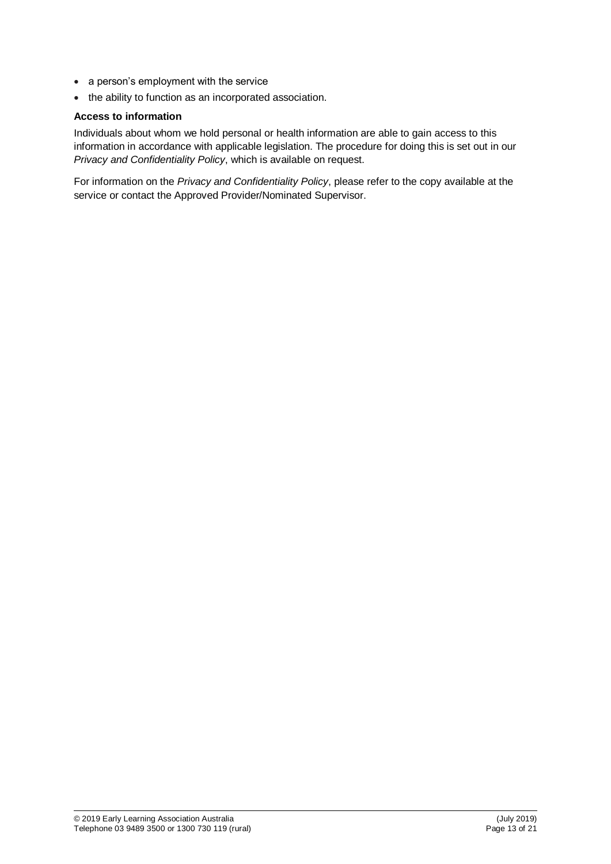- a person's employment with the service
- the ability to function as an incorporated association.

#### **Access to information**

Individuals about whom we hold personal or health information are able to gain access to this information in accordance with applicable legislation. The procedure for doing this is set out in our *Privacy and Confidentiality Policy*, which is available on request.

For information on the *Privacy and Confidentiality Policy*, please refer to the copy available at the service or contact the Approved Provider/Nominated Supervisor.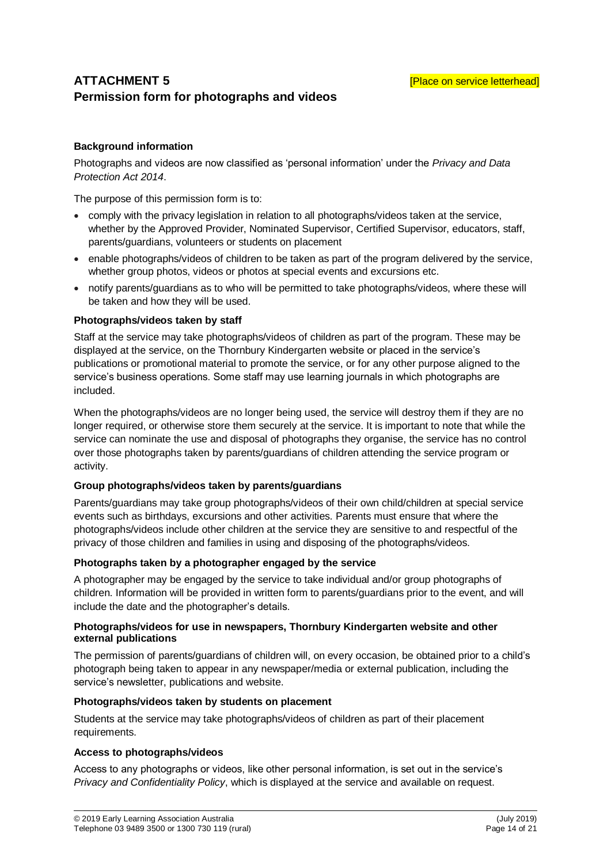# **ATTACHMENT 5 ATTACHMENT 5 Example 2 EXECUTE: EXECUTE: EXECUTE: EXECUTE: EXECUTE: EXECUTE: EXECUTE: EXECUTE: EXECUTE: EXECUTE: EXECUTE: EXECUTE: EXECUTE: EXECUTE: EXECUTE: EXECUTE: EXE Permission form for photographs and videos**

# **Background information**

Photographs and videos are now classified as 'personal information' under the *Privacy and Data Protection Act 2014*.

The purpose of this permission form is to:

- comply with the privacy legislation in relation to all photographs/videos taken at the service, whether by the Approved Provider, Nominated Supervisor, Certified Supervisor, educators, staff, parents/guardians, volunteers or students on placement
- enable photographs/videos of children to be taken as part of the program delivered by the service, whether group photos, videos or photos at special events and excursions etc.
- notify parents/guardians as to who will be permitted to take photographs/videos, where these will be taken and how they will be used.

#### **Photographs/videos taken by staff**

Staff at the service may take photographs/videos of children as part of the program. These may be displayed at the service, on the Thornbury Kindergarten website or placed in the service's publications or promotional material to promote the service, or for any other purpose aligned to the service's business operations. Some staff may use learning journals in which photographs are included.

When the photographs/videos are no longer being used, the service will destroy them if they are no longer required, or otherwise store them securely at the service. It is important to note that while the service can nominate the use and disposal of photographs they organise, the service has no control over those photographs taken by parents/guardians of children attending the service program or activity.

#### **Group photographs/videos taken by parents/guardians**

Parents/guardians may take group photographs/videos of their own child/children at special service events such as birthdays, excursions and other activities. Parents must ensure that where the photographs/videos include other children at the service they are sensitive to and respectful of the privacy of those children and families in using and disposing of the photographs/videos.

#### **Photographs taken by a photographer engaged by the service**

A photographer may be engaged by the service to take individual and/or group photographs of children. Information will be provided in written form to parents/guardians prior to the event, and will include the date and the photographer's details.

#### **Photographs/videos for use in newspapers, Thornbury Kindergarten website and other external publications**

The permission of parents/guardians of children will, on every occasion, be obtained prior to a child's photograph being taken to appear in any newspaper/media or external publication, including the service's newsletter, publications and website.

#### **Photographs/videos taken by students on placement**

Students at the service may take photographs/videos of children as part of their placement requirements.

#### **Access to photographs/videos**

Access to any photographs or videos, like other personal information, is set out in the service's *Privacy and Confidentiality Policy*, which is displayed at the service and available on request.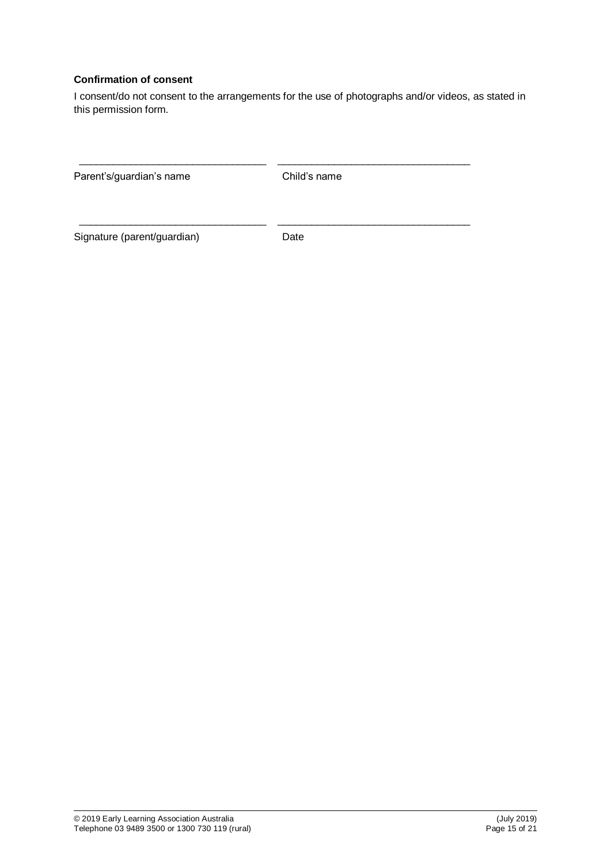## **Confirmation of consent**

I consent/do not consent to the arrangements for the use of photographs and/or videos, as stated in this permission form.

| Parent's/guardian's name    | Child's name |
|-----------------------------|--------------|
| Signature (parent/guardian) | Date         |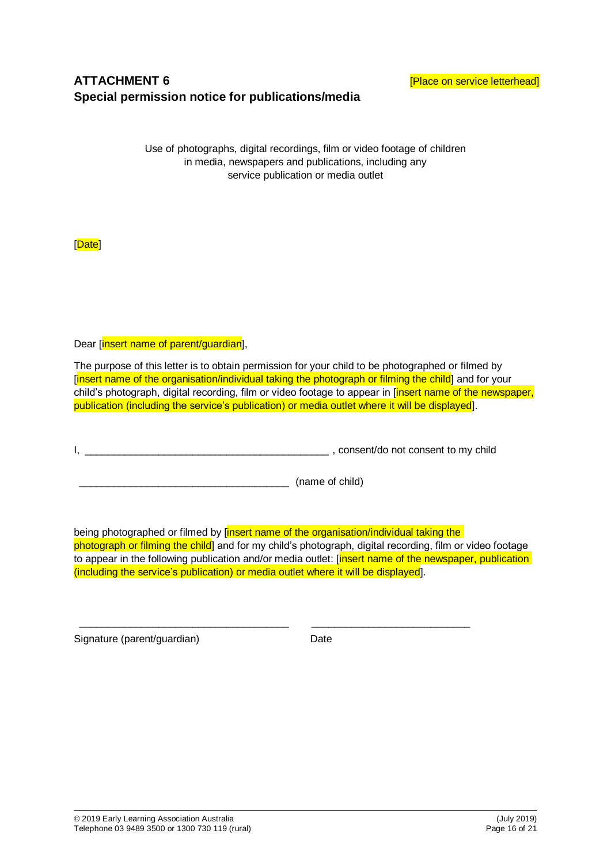# **ATTACHMENT 6 ATTACHMENT 6 Example 2 EXECUTE: EXECUTE: EXECUTE: EXECUTE: EXECUTE: EXECUTE: EXECUTE: EXECUTE: EXECUTE: EXECUTE: EXECUTE: EXECUTE: EXECUTE: EXECUTE: EXECUTE: EXECUTE: EXE Special permission notice for publications/media**

Use of photographs, digital recordings, film or video footage of children in media, newspapers and publications, including any service publication or media outlet

[Date]

Dear [insert name of parent/guardian],

The purpose of this letter is to obtain permission for your child to be photographed or filmed by [insert name of the organisation/individual taking the photograph or filming the child] and for your child's photograph, digital recording, film or video footage to appear in [insert name of the newspaper, publication (including the service's publication) or media outlet where it will be displayed].

I, \_\_\_\_\_\_\_\_\_\_\_\_\_\_\_\_\_\_\_\_\_\_\_\_\_\_\_\_\_\_\_\_\_\_\_\_\_\_\_\_\_\_\_ , consent/do not consent to my child

\_\_\_\_\_\_\_\_\_\_\_\_\_\_\_\_\_\_\_\_\_\_\_\_\_\_\_\_\_\_\_\_\_\_\_\_\_ (name of child)

being photographed or filmed by [insert name of the organisation/individual taking the photograph or filming the child] and for my child's photograph, digital recording, film or video footage to appear in the following publication and/or media outlet: [insert name of the newspaper, publication] (including the service's publication) or media outlet where it will be displayed].

\_\_\_\_\_\_\_\_\_\_\_\_\_\_\_\_\_\_\_\_\_\_\_\_\_\_\_\_\_\_\_\_\_\_\_\_\_ \_\_\_\_\_\_\_\_\_\_\_\_\_\_\_\_\_\_\_\_\_\_\_\_\_\_\_\_

Signature (parent/guardian) Date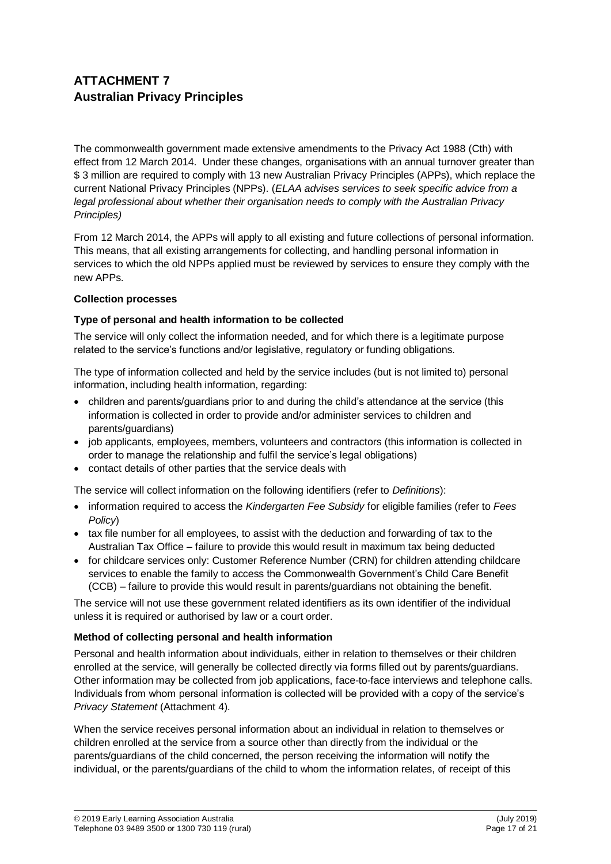# **ATTACHMENT 7 Australian Privacy Principles**

The commonwealth government made extensive amendments to the Privacy Act 1988 (Cth) with effect from 12 March 2014. Under these changes, organisations with an annual turnover greater than \$ 3 million are required to comply with 13 new Australian Privacy Principles (APPs), which replace the current National Privacy Principles (NPPs). (*ELAA advises services to seek specific advice from a legal professional about whether their organisation needs to comply with the Australian Privacy Principles)*

From 12 March 2014, the APPs will apply to all existing and future collections of personal information. This means, that all existing arrangements for collecting, and handling personal information in services to which the old NPPs applied must be reviewed by services to ensure they comply with the new APPs.

## **Collection processes**

# **Type of personal and health information to be collected**

The service will only collect the information needed, and for which there is a legitimate purpose related to the service's functions and/or legislative, regulatory or funding obligations.

The type of information collected and held by the service includes (but is not limited to) personal information, including health information, regarding:

- children and parents/guardians prior to and during the child's attendance at the service (this information is collected in order to provide and/or administer services to children and parents/guardians)
- job applicants, employees, members, volunteers and contractors (this information is collected in order to manage the relationship and fulfil the service's legal obligations)
- contact details of other parties that the service deals with

The service will collect information on the following identifiers (refer to *Definitions*):

- information required to access the *Kindergarten Fee Subsidy* for eligible families (refer to *Fees Policy*)
- tax file number for all employees, to assist with the deduction and forwarding of tax to the Australian Tax Office – failure to provide this would result in maximum tax being deducted
- for childcare services only: Customer Reference Number (CRN) for children attending childcare services to enable the family to access the Commonwealth Government's Child Care Benefit (CCB) – failure to provide this would result in parents/guardians not obtaining the benefit.

The service will not use these government related identifiers as its own identifier of the individual unless it is required or authorised by law or a court order.

## **Method of collecting personal and health information**

Personal and health information about individuals, either in relation to themselves or their children enrolled at the service, will generally be collected directly via forms filled out by parents/guardians. Other information may be collected from job applications, face-to-face interviews and telephone calls. Individuals from whom personal information is collected will be provided with a copy of the service's *Privacy Statement* (Attachment 4).

When the service receives personal information about an individual in relation to themselves or children enrolled at the service from a source other than directly from the individual or the parents/guardians of the child concerned, the person receiving the information will notify the individual, or the parents/guardians of the child to whom the information relates, of receipt of this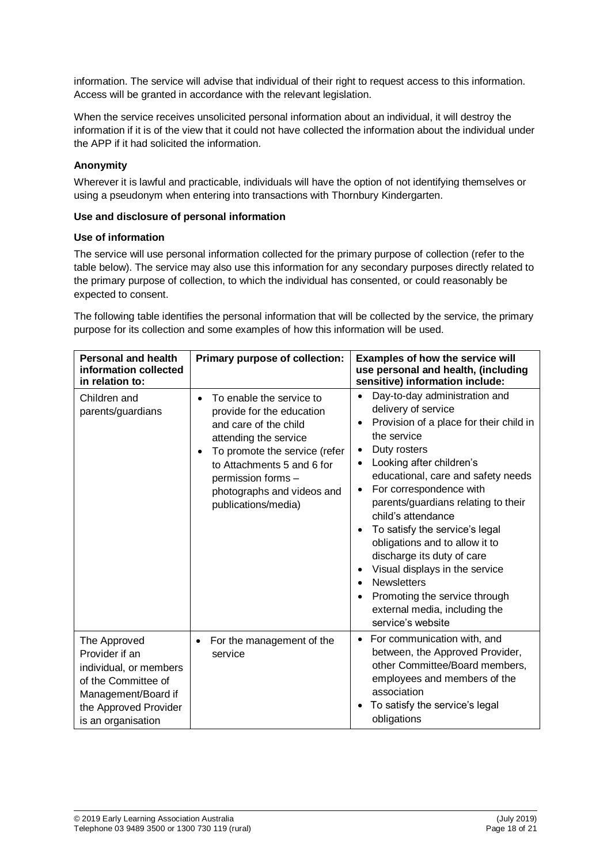information. The service will advise that individual of their right to request access to this information. Access will be granted in accordance with the relevant legislation.

When the service receives unsolicited personal information about an individual, it will destroy the information if it is of the view that it could not have collected the information about the individual under the APP if it had solicited the information.

#### **Anonymity**

Wherever it is lawful and practicable, individuals will have the option of not identifying themselves or using a pseudonym when entering into transactions with Thornbury Kindergarten.

#### **Use and disclosure of personal information**

#### **Use of information**

The service will use personal information collected for the primary purpose of collection (refer to the table below). The service may also use this information for any secondary purposes directly related to the primary purpose of collection, to which the individual has consented, or could reasonably be expected to consent.

The following table identifies the personal information that will be collected by the service, the primary purpose for its collection and some examples of how this information will be used.

| <b>Personal and health</b><br>information collected<br>in relation to:                                                                                | Primary purpose of collection:                                                                                                                                                                                                                                 | Examples of how the service will<br>use personal and health, (including<br>sensitive) information include:                                                                                                                                                                                                                                                                                                                                                                                                                                                                                    |
|-------------------------------------------------------------------------------------------------------------------------------------------------------|----------------------------------------------------------------------------------------------------------------------------------------------------------------------------------------------------------------------------------------------------------------|-----------------------------------------------------------------------------------------------------------------------------------------------------------------------------------------------------------------------------------------------------------------------------------------------------------------------------------------------------------------------------------------------------------------------------------------------------------------------------------------------------------------------------------------------------------------------------------------------|
| Children and<br>parents/guardians                                                                                                                     | To enable the service to<br>$\bullet$<br>provide for the education<br>and care of the child<br>attending the service<br>To promote the service (refer<br>to Attachments 5 and 6 for<br>permission forms -<br>photographs and videos and<br>publications/media) | Day-to-day administration and<br>$\bullet$<br>delivery of service<br>Provision of a place for their child in<br>the service<br>Duty rosters<br>$\bullet$<br>Looking after children's<br>educational, care and safety needs<br>For correspondence with<br>$\bullet$<br>parents/guardians relating to their<br>child's attendance<br>To satisfy the service's legal<br>obligations and to allow it to<br>discharge its duty of care<br>Visual displays in the service<br><b>Newsletters</b><br>$\bullet$<br>Promoting the service through<br>external media, including the<br>service's website |
| The Approved<br>Provider if an<br>individual, or members<br>of the Committee of<br>Management/Board if<br>the Approved Provider<br>is an organisation | For the management of the<br>service                                                                                                                                                                                                                           | For communication with, and<br>$\bullet$<br>between, the Approved Provider,<br>other Committee/Board members,<br>employees and members of the<br>association<br>To satisfy the service's legal<br>obligations                                                                                                                                                                                                                                                                                                                                                                                 |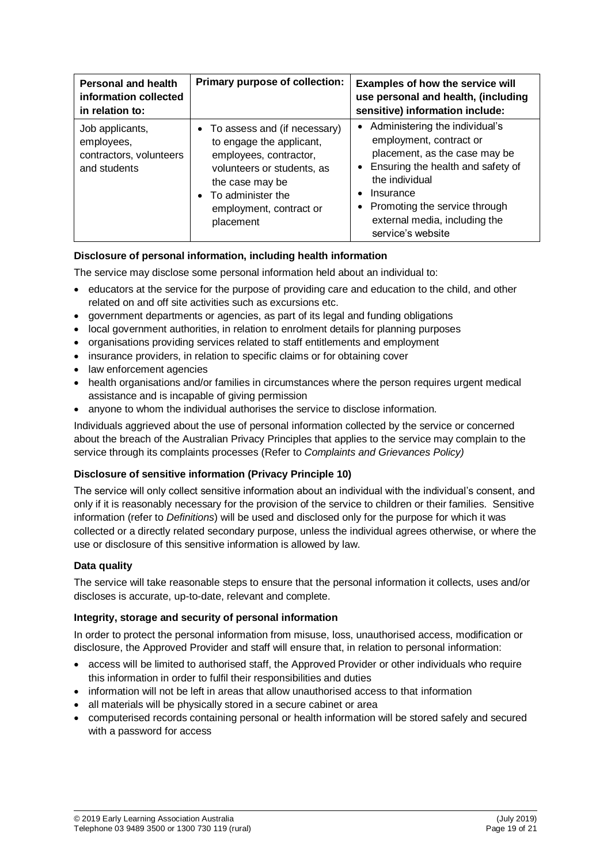| <b>Personal and health</b><br>information collected<br>in relation to:   | Primary purpose of collection:                                                                                                                                                                       | Examples of how the service will<br>use personal and health, (including<br>sensitive) information include:                                                                                                                                              |
|--------------------------------------------------------------------------|------------------------------------------------------------------------------------------------------------------------------------------------------------------------------------------------------|---------------------------------------------------------------------------------------------------------------------------------------------------------------------------------------------------------------------------------------------------------|
| Job applicants,<br>employees,<br>contractors, volunteers<br>and students | • To assess and (if necessary)<br>to engage the applicant,<br>employees, contractor,<br>volunteers or students, as<br>the case may be<br>• To administer the<br>employment, contract or<br>placement | • Administering the individual's<br>employment, contract or<br>placement, as the case may be<br>Ensuring the health and safety of<br>the individual<br>Insurance<br>Promoting the service through<br>external media, including the<br>service's website |

# **Disclosure of personal information, including health information**

The service may disclose some personal information held about an individual to:

- educators at the service for the purpose of providing care and education to the child, and other related on and off site activities such as excursions etc.
- government departments or agencies, as part of its legal and funding obligations
- local government authorities, in relation to enrolment details for planning purposes
- organisations providing services related to staff entitlements and employment
- insurance providers, in relation to specific claims or for obtaining cover
- law enforcement agencies
- health organisations and/or families in circumstances where the person requires urgent medical assistance and is incapable of giving permission
- anyone to whom the individual authorises the service to disclose information.

Individuals aggrieved about the use of personal information collected by the service or concerned about the breach of the Australian Privacy Principles that applies to the service may complain to the service through its complaints processes (Refer to *Complaints and Grievances Policy)*

## **Disclosure of sensitive information (Privacy Principle 10)**

The service will only collect sensitive information about an individual with the individual's consent, and only if it is reasonably necessary for the provision of the service to children or their families. Sensitive information (refer to *Definitions*) will be used and disclosed only for the purpose for which it was collected or a directly related secondary purpose, unless the individual agrees otherwise, or where the use or disclosure of this sensitive information is allowed by law.

## **Data quality**

The service will take reasonable steps to ensure that the personal information it collects, uses and/or discloses is accurate, up-to-date, relevant and complete.

#### **Integrity, storage and security of personal information**

In order to protect the personal information from misuse, loss, unauthorised access, modification or disclosure, the Approved Provider and staff will ensure that, in relation to personal information:

- access will be limited to authorised staff, the Approved Provider or other individuals who require this information in order to fulfil their responsibilities and duties
- information will not be left in areas that allow unauthorised access to that information
- all materials will be physically stored in a secure cabinet or area
- computerised records containing personal or health information will be stored safely and secured with a password for access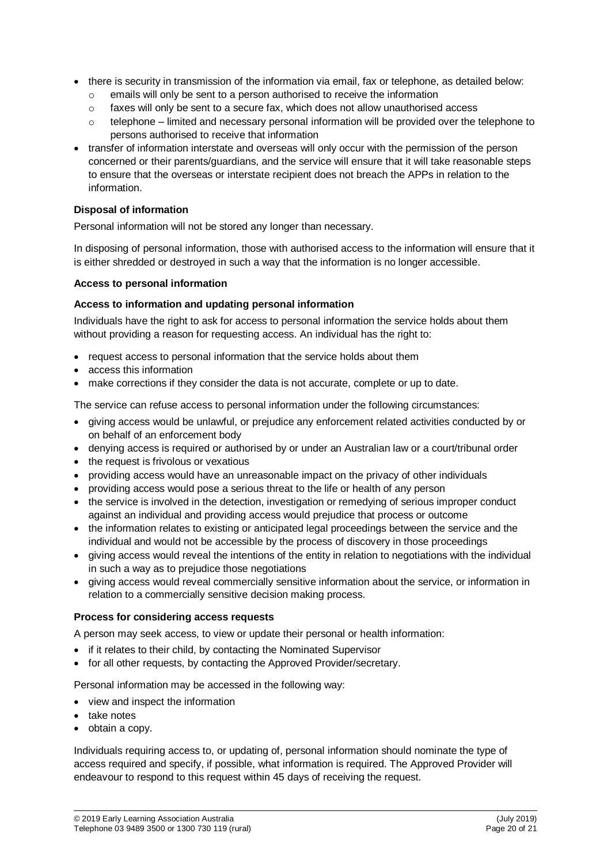- there is security in transmission of the information via email, fax or telephone, as detailed below:
	- o emails will only be sent to a person authorised to receive the information
	- $\circ$  faxes will only be sent to a secure fax, which does not allow unauthorised access
	- $\circ$  telephone limited and necessary personal information will be provided over the telephone to persons authorised to receive that information
- transfer of information interstate and overseas will only occur with the permission of the person concerned or their parents/guardians, and the service will ensure that it will take reasonable steps to ensure that the overseas or interstate recipient does not breach the APPs in relation to the information.

#### **Disposal of information**

Personal information will not be stored any longer than necessary.

In disposing of personal information, those with authorised access to the information will ensure that it is either shredded or destroyed in such a way that the information is no longer accessible.

#### **Access to personal information**

#### **Access to information and updating personal information**

Individuals have the right to ask for access to personal information the service holds about them without providing a reason for requesting access. An individual has the right to:

- request access to personal information that the service holds about them
- access this information
- make corrections if they consider the data is not accurate, complete or up to date.

The service can refuse access to personal information under the following circumstances:

- giving access would be unlawful, or prejudice any enforcement related activities conducted by or on behalf of an enforcement body
- denying access is required or authorised by or under an Australian law or a court/tribunal order
- the request is frivolous or vexatious
- providing access would have an unreasonable impact on the privacy of other individuals
- providing access would pose a serious threat to the life or health of any person
- the service is involved in the detection, investigation or remedying of serious improper conduct against an individual and providing access would prejudice that process or outcome
- the information relates to existing or anticipated legal proceedings between the service and the individual and would not be accessible by the process of discovery in those proceedings
- giving access would reveal the intentions of the entity in relation to negotiations with the individual in such a way as to prejudice those negotiations
- giving access would reveal commercially sensitive information about the service, or information in relation to a commercially sensitive decision making process.

#### **Process for considering access requests**

A person may seek access, to view or update their personal or health information:

- if it relates to their child, by contacting the Nominated Supervisor
- for all other requests, by contacting the Approved Provider/secretary.

Personal information may be accessed in the following way:

- view and inspect the information
- take notes
- obtain a copy.

Individuals requiring access to, or updating of, personal information should nominate the type of access required and specify, if possible, what information is required. The Approved Provider will endeavour to respond to this request within 45 days of receiving the request.